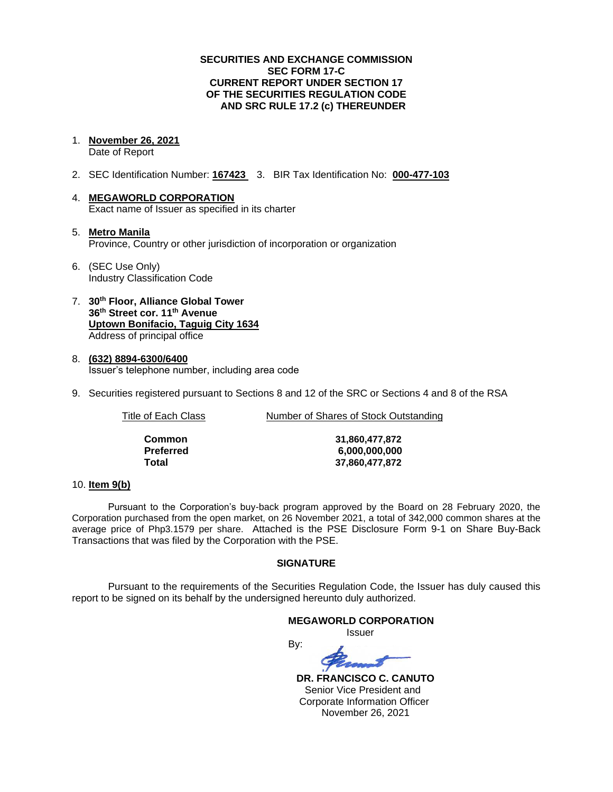### **SECURITIES AND EXCHANGE COMMISSION SEC FORM 17-C CURRENT REPORT UNDER SECTION 17 OF THE SECURITIES REGULATION CODE AND SRC RULE 17.2 (c) THEREUNDER**

1. **November 26, 2021**

Date of Report

- 2. SEC Identification Number: **167423** 3. BIR Tax Identification No: **000-477-103**
- 4. **MEGAWORLD CORPORATION** Exact name of Issuer as specified in its charter
- 5. **Metro Manila** Province, Country or other jurisdiction of incorporation or organization
- 6. (SEC Use Only) Industry Classification Code
- 7. **30th Floor, Alliance Global Tower 36th Street cor. 11th Avenue Uptown Bonifacio, Taguig City 1634** Address of principal office
- 8. **(632) 8894-6300/6400** Issuer's telephone number, including area code
- 9. Securities registered pursuant to Sections 8 and 12 of the SRC or Sections 4 and 8 of the RSA

Title of Each Class **Number of Shares of Stock Outstanding** 

| Common    |
|-----------|
| Preferred |
| Total     |

**Common 31,860,477,872 Preferred 6,000,000,000 Total 37,860,477,872**

### 10. **Item 9(b)**

Pursuant to the Corporation's buy-back program approved by the Board on 28 February 2020, the Corporation purchased from the open market, on 26 November 2021, a total of 342,000 common shares at the average price of Php3.1579 per share. Attached is the PSE Disclosure Form 9-1 on Share Buy-Back Transactions that was filed by the Corporation with the PSE.

## **SIGNATURE**

Pursuant to the requirements of the Securities Regulation Code, the Issuer has duly caused this report to be signed on its behalf by the undersigned hereunto duly authorized.

### **MEGAWORLD CORPORATION** Issuer By:

 **DR. FRANCISCO C. CANUTO** Senior Vice President and Corporate Information Officer November 26, 2021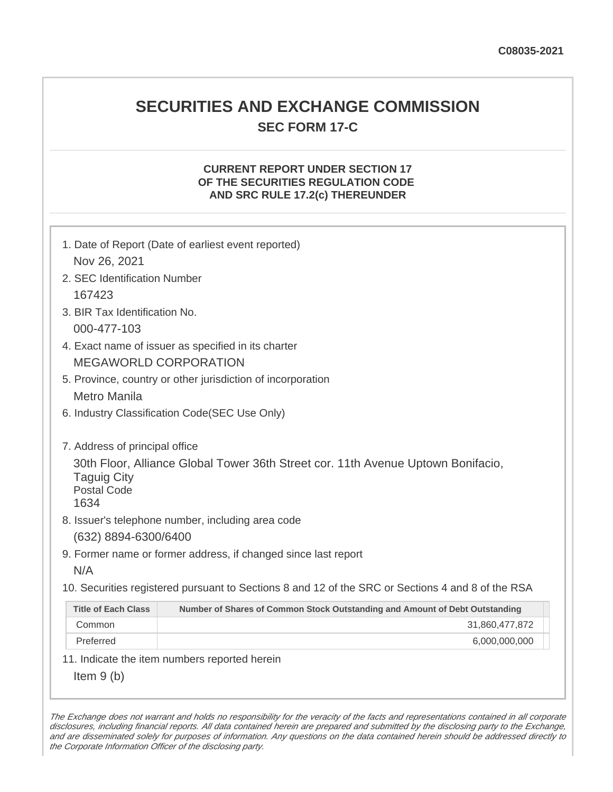## **SECURITIES AND EXCHANGE COMMISSION SEC FORM 17-C**

## **CURRENT REPORT UNDER SECTION 17 OF THE SECURITIES REGULATION CODE AND SRC RULE 17.2(c) THEREUNDER**

| Nov 26, 2021                                                                       | 1. Date of Report (Date of earliest event reported)                                                                                   |
|------------------------------------------------------------------------------------|---------------------------------------------------------------------------------------------------------------------------------------|
| 2. SEC Identification Number                                                       |                                                                                                                                       |
| 167423                                                                             |                                                                                                                                       |
| 3. BIR Tax Identification No.                                                      |                                                                                                                                       |
| 000-477-103                                                                        |                                                                                                                                       |
|                                                                                    | 4. Exact name of issuer as specified in its charter                                                                                   |
|                                                                                    | <b>MEGAWORLD CORPORATION</b>                                                                                                          |
|                                                                                    | 5. Province, country or other jurisdiction of incorporation                                                                           |
| <b>Metro Manila</b>                                                                |                                                                                                                                       |
|                                                                                    | 6. Industry Classification Code(SEC Use Only)                                                                                         |
| 7. Address of principal office<br><b>Taguig City</b><br><b>Postal Code</b><br>1634 | 30th Floor, Alliance Global Tower 36th Street cor. 11th Avenue Uptown Bonifacio,<br>8. Issuer's telephone number, including area code |
| (632) 8894-6300/6400                                                               |                                                                                                                                       |
|                                                                                    | 9. Former name or former address, if changed since last report                                                                        |
| N/A                                                                                |                                                                                                                                       |
|                                                                                    | 10. Securities registered pursuant to Sections 8 and 12 of the SRC or Sections 4 and 8 of the RSA                                     |
| <b>Title of Each Class</b>                                                         | Number of Shares of Common Stock Outstanding and Amount of Debt Outstanding                                                           |
| Common                                                                             | 31,860,477,872                                                                                                                        |
| Preferred                                                                          | 6,000,000,000                                                                                                                         |
|                                                                                    | 11. Indicate the item numbers reported herein                                                                                         |
| Item $9(b)$                                                                        |                                                                                                                                       |

The Exchange does not warrant and holds no responsibility for the veracity of the facts and representations contained in all corporate disclosures, including financial reports. All data contained herein are prepared and submitted by the disclosing party to the Exchange, and are disseminated solely for purposes of information. Any questions on the data contained herein should be addressed directly to the Corporate Information Officer of the disclosing party.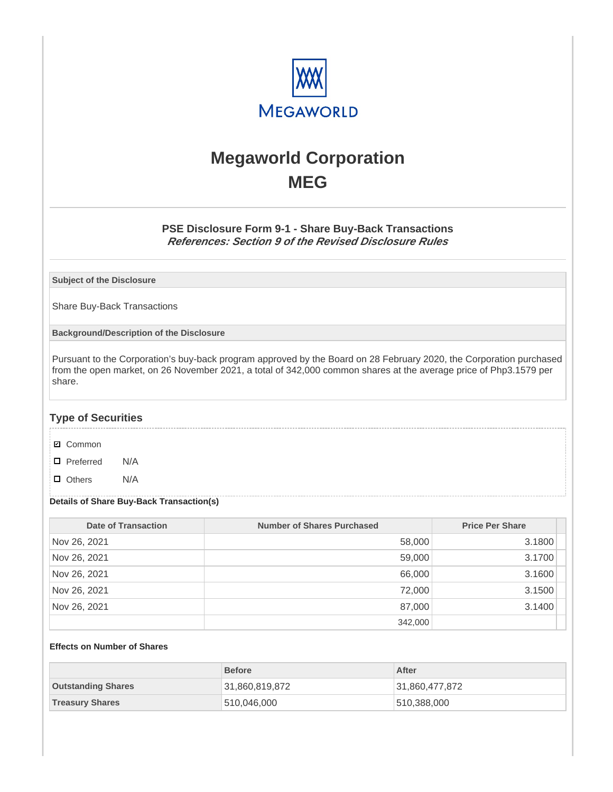

# **Megaworld Corporation MEG**

## **PSE Disclosure Form 9-1 - Share Buy-Back Transactions References: Section 9 of the Revised Disclosure Rules**

**Subject of the Disclosure**

Share Buy-Back Transactions

**Background/Description of the Disclosure**

Pursuant to the Corporation's buy-back program approved by the Board on 28 February 2020, the Corporation purchased from the open market, on 26 November 2021, a total of 342,000 common shares at the average price of Php3.1579 per share.

## **Type of Securities**

- **☑** Common
- □ Preferred N/A
- D Others N/A

### **Details of Share Buy-Back Transaction(s)**

| Date of Transaction | Number of Shares Purchased | <b>Price Per Share</b> |
|---------------------|----------------------------|------------------------|
| Nov 26, 2021        | 58,000                     | 3.1800                 |
| Nov 26, 2021        | 59,000                     | 3.1700                 |
| Nov 26, 2021        | 66,000                     | 3.1600                 |
| Nov 26, 2021        | 72,000                     | 3.1500                 |
| Nov 26, 2021        | 87,000                     | 3.1400                 |
|                     | 342,000                    |                        |

#### **Effects on Number of Shares**

|                           | <b>Before</b>  | After          |
|---------------------------|----------------|----------------|
| <b>Outstanding Shares</b> | 31,860,819,872 | 31,860,477,872 |
| <b>Treasury Shares</b>    | 510,046,000    | 510,388,000    |